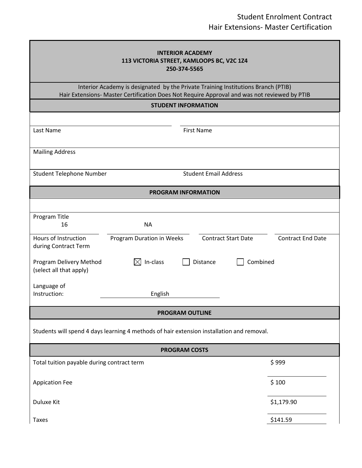| <b>INTERIOR ACADEMY</b><br>113 VICTORIA STREET, KAMLOOPS BC, V2C 1Z4<br>250-374-5565                                                                                              |                           |                              |                            |                          |  |  |
|-----------------------------------------------------------------------------------------------------------------------------------------------------------------------------------|---------------------------|------------------------------|----------------------------|--------------------------|--|--|
| Interior Academy is designated by the Private Training Institutions Branch (PTIB)<br>Hair Extensions- Master Certification Does Not Require Approval and was not reviewed by PTIB |                           |                              |                            |                          |  |  |
| <b>STUDENT INFORMATION</b>                                                                                                                                                        |                           |                              |                            |                          |  |  |
|                                                                                                                                                                                   |                           |                              |                            |                          |  |  |
| Last Name                                                                                                                                                                         |                           | <b>First Name</b>            |                            |                          |  |  |
| <b>Mailing Address</b>                                                                                                                                                            |                           |                              |                            |                          |  |  |
| <b>Student Telephone Number</b>                                                                                                                                                   |                           | <b>Student Email Address</b> |                            |                          |  |  |
| <b>PROGRAM INFORMATION</b>                                                                                                                                                        |                           |                              |                            |                          |  |  |
|                                                                                                                                                                                   |                           |                              |                            |                          |  |  |
| Program Title<br>16                                                                                                                                                               | <b>NA</b>                 |                              |                            |                          |  |  |
| Hours of Instruction<br>during Contract Term                                                                                                                                      | Program Duration in Weeks |                              | <b>Contract Start Date</b> | <b>Contract End Date</b> |  |  |
| Program Delivery Method<br>(select all that apply)                                                                                                                                | In-class<br>IXI           | Distance                     | Combined                   |                          |  |  |
| Language of<br>Instruction:                                                                                                                                                       | English                   |                              |                            |                          |  |  |
| <b>PROGRAM OUTLINE</b>                                                                                                                                                            |                           |                              |                            |                          |  |  |
| Students will spend 4 days learning 4 methods of hair extension installation and removal.                                                                                         |                           |                              |                            |                          |  |  |
| <b>PROGRAM COSTS</b>                                                                                                                                                              |                           |                              |                            |                          |  |  |
| Total tuition payable during contract term                                                                                                                                        |                           |                              |                            | \$999                    |  |  |
| <b>Appication Fee</b>                                                                                                                                                             |                           |                              |                            | \$100                    |  |  |
| Duluxe Kit                                                                                                                                                                        |                           |                              |                            | \$1,179.90               |  |  |
| <b>Taxes</b>                                                                                                                                                                      |                           |                              |                            | \$141.59                 |  |  |